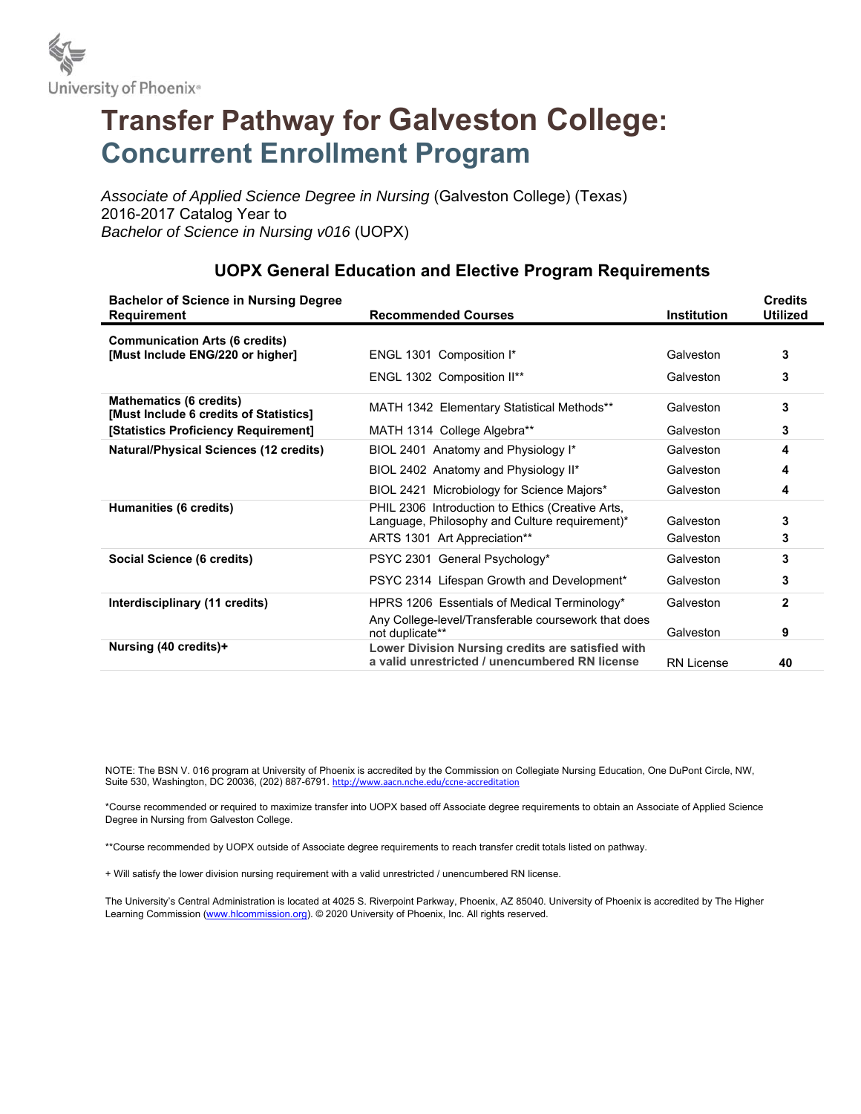

## **Transfer Pathway for Galveston College: Concurrent Enrollment Program**

*Associate of Applied Science Degree in Nursing* (Galveston College) (Texas) 2016-2017 Catalog Year to *Bachelor of Science in Nursing v016* (UOPX)

| <b>Bachelor of Science in Nursing Degree</b><br><b>Requirement</b>       | <b>Recommended Courses</b>                                                                          | <b>Institution</b> | <b>Credits</b><br><b>Utilized</b> |
|--------------------------------------------------------------------------|-----------------------------------------------------------------------------------------------------|--------------------|-----------------------------------|
| <b>Communication Arts (6 credits)</b>                                    |                                                                                                     |                    |                                   |
| [Must Include ENG/220 or higher]                                         | ENGL 1301 Composition I*                                                                            | Galveston          | 3                                 |
|                                                                          | ENGL 1302 Composition II**                                                                          | Galveston          | 3                                 |
| <b>Mathematics (6 credits)</b><br>[Must Include 6 credits of Statistics] | MATH 1342 Elementary Statistical Methods**                                                          | Galveston          | 3                                 |
| [Statistics Proficiency Requirement]                                     | MATH 1314 College Algebra**                                                                         | Galveston          | 3                                 |
| <b>Natural/Physical Sciences (12 credits)</b>                            | BIOL 2401 Anatomy and Physiology I*                                                                 | Galveston          | 4                                 |
|                                                                          | BIOL 2402 Anatomy and Physiology II*                                                                | Galveston          | 4                                 |
|                                                                          | BIOL 2421 Microbiology for Science Majors*                                                          | Galveston          | 4                                 |
| Humanities (6 credits)                                                   | PHIL 2306 Introduction to Ethics (Creative Arts,                                                    |                    |                                   |
|                                                                          | Language, Philosophy and Culture requirement)*                                                      | Galveston          | 3                                 |
|                                                                          | ARTS 1301 Art Appreciation**                                                                        | Galveston          | 3                                 |
| Social Science (6 credits)                                               | PSYC 2301 General Psychology*                                                                       | Galveston          | 3                                 |
|                                                                          | PSYC 2314 Lifespan Growth and Development*                                                          | Galveston          | 3                                 |
| Interdisciplinary (11 credits)                                           | HPRS 1206 Essentials of Medical Terminology*                                                        | Galveston          | $\mathbf{2}$                      |
|                                                                          | Any College-level/Transferable coursework that does<br>not duplicate**                              | Galveston          | 9                                 |
| Nursing (40 credits)+                                                    | Lower Division Nursing credits are satisfied with<br>a valid unrestricted / unencumbered RN license | <b>RN License</b>  | 40                                |

## **UOPX General Education and Elective Program Requirements**

NOTE: The BSN V. 016 program at University of Phoenix is accredited by the Commission on Collegiate Nursing Education, One DuPont Circle, NW, Suite 530, Washington, DC 20036, (202) 887-6791. http://www.aacn.nche.edu/ccne-accreditation

\*Course recommended or required to maximize transfer into UOPX based off Associate degree requirements to obtain an Associate of Applied Science Degree in Nursing from Galveston College.

\*\*Course recommended by UOPX outside of Associate degree requirements to reach transfer credit totals listed on pathway.

+ Will satisfy the lower division nursing requirement with a valid unrestricted / unencumbered RN license.

The University's Central Administration is located at 4025 S. Riverpoint Parkway, Phoenix, AZ 85040. University of Phoenix is accredited by The Higher Learning Commission (www.hlcommission.org). © 2020 University of Phoenix, Inc. All rights reserved.